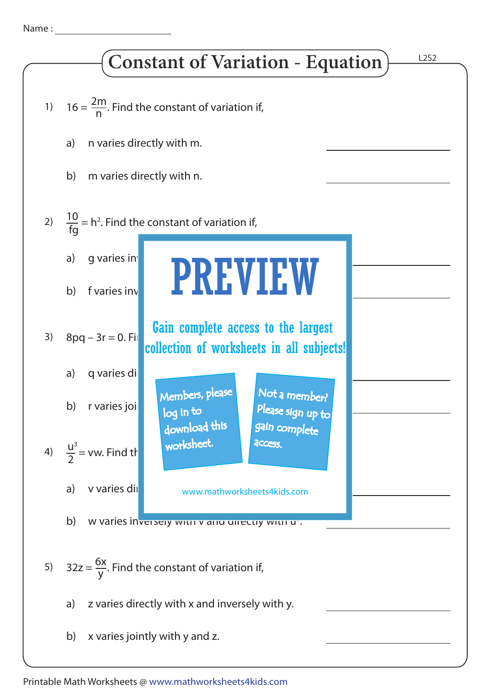